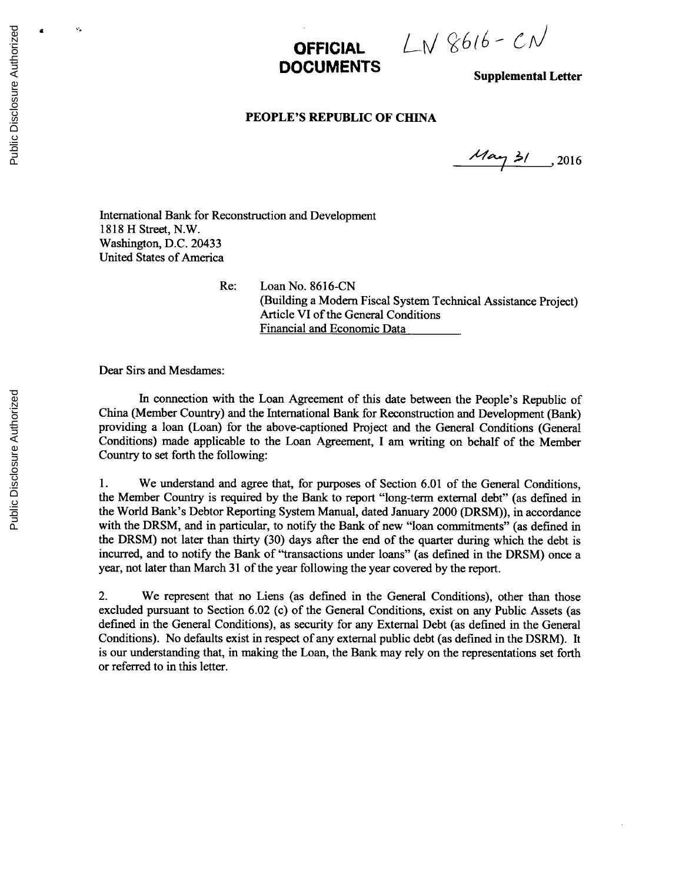**OFFICIAL**  $LN86(6-C)$ 

**Supplemental Letter** 

## **PEOPLE'S REPUBLIC OF CHINA**

 $\frac{\mu}{3}$  2016

International Bank for Reconstruction and Development **1818** H Street, N.W. Washington, **D.C.** 20433 United States of America

Re: Loan No. **8616-CN** (Building a Modem Fiscal System Technical Assistance Project) Article VI of the General Conditions Financial and Economic Data

Dear Sirs and Mesdames:

In connection with the Loan Agreement of this date between the People's Republic of China (Member Country) and the International Bank for Reconstruction and Development (Bank) providing a loan (Loan) for the above-captioned Project and the General Conditions (General Conditions) made applicable to the Loan Agreement, **I** am writing on behalf of the Member Country to set forth the following:

**1.** We understand and agree that, for purposes of Section **6.01** of the General Conditions, the Member Country is required **by** the Bank to report "long-term external debt" (as defined in the World Bank's Debtor Reporting System Manual, dated January 2000 (DRSM)), in accordance with the DRSM, and in particular, to notify the Bank of new "loan commitments" (as defined in the DRSM) not later than thirty **(30)** days after the end of the quarter during which the debt is incurred, and to notify the Bank of "transactions under loans" (as defined in the DRSM) once a year, not later than March **31** of the year following the year covered **by** the report.

2. We represent that no Liens (as defined in the General Conditions), other than those excluded pursuant to Section **6.02** (c) of the General Conditions, exist on any Public Assets (as defined in the General Conditions), as security for any External Debt (as defined in the General Conditions). No defaults exist in respect of any external public debt (as defined in the DSRM). It is our understanding that, in making the Loan, the Bank may rely on the representations set forth or referred to in this letter.

Ÿ,

 $\overline{\mathbf{a}}$